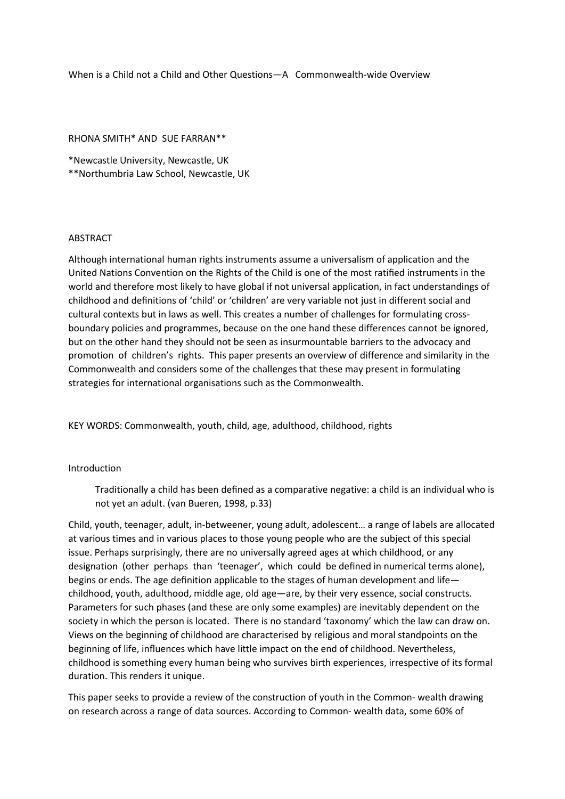#### When is a Child not a Child and Other Questions—A Commonwealth-wide Overview

RHONA SMITH\* AND SUE FARRAN\*\*

\*Newcastle University, Newcastle, UK \*\*Northumbria Law School, Newcastle, UK

#### **ABSTRACT**

Although international human rights instruments assume a universalism of application and the United Nations Convention on the Rights of the Child is one of the most ratified instruments in the world and therefore most likely to have global if not universal application, in fact understandings of childhood and definitions of 'child' or 'children' are very variable not just in different social and cultural contexts but in laws as well. This creates a number of challenges for formulating crossboundary policies and programmes, because on the one hand these differences cannot be ignored, but on the other hand they should not be seen as insurmountable barriers to the advocacy and promotion of children's rights. This paper presents an overview of difference and similarity in the Commonwealth and considers some of the challenges that these may present in formulating strategies for international organisations such as the Commonwealth.

KEY WORDS: Commonwealth, youth, child, age, adulthood, childhood, rights

#### Introduction

Traditionally a child has been defined as a comparative negative: a child is an individual who is not yet an adult. (van Bueren, 1998, p.33)

Child, youth, teenager, adult, in-betweener, young adult, adolescent… a range of labels are allocated at various times and in various places to those young people who are the subject of this special issue. Perhaps surprisingly, there are no universally agreed ages at which childhood, or any designation (other perhaps than 'teenager', which could be defined in numerical terms alone), begins or ends. The age definition applicable to the stages of human development and life childhood, youth, adulthood, middle age, old age—are, by their very essence, social constructs. Parameters for such phases (and these are only some examples) are inevitably dependent on the society in which the person is located. There is no standard 'taxonomy' which the law can draw on. Views on the beginning of childhood are characterised by religious and moral standpoints on the beginning of life, influences which have little impact on the end of childhood. Nevertheless, childhood is something every human being who survives birth experiences, irrespective of its formal duration. This renders it unique.

This paper seeks to provide a review of the construction of youth in the Common- wealth drawing on research across a range of data sources. According to Common- wealth data, some 60% of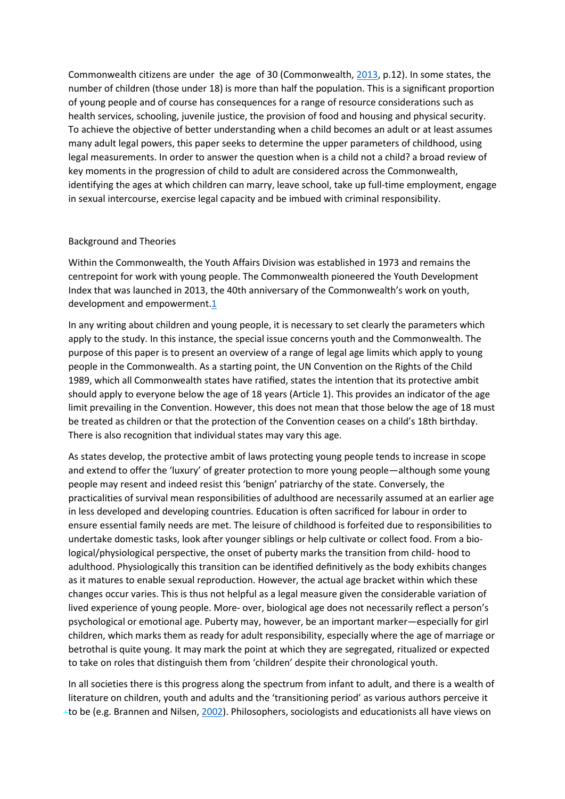<span id="page-1-1"></span>Commonwealth citizens are under the age of 30 (Commonwealth, [2013](#page-9-0), p.12). In some states, the number of children (those under 18) is more than half the population. This is a significant proportion of young people and of course has consequences for a range of resource considerations such as health services, schooling, juvenile justice, the provision of food and housing and physical security. To achieve the objective of better understanding when a child becomes an adult or at least assumes many adult legal powers, this paper seeks to determine the upper parameters of childhood, using legal measurements. In order to answer the question when is a child not a child? a broad review of key moments in the progression of child to adult are considered across the Commonwealth, identifying the ages at which children can marry, leave school, take up full-time employment, engage in sexual intercourse, exercise legal capacity and be imbued with criminal responsibility.

### Background and Theories

Within the Commonwealth, the Youth Affairs Division was established in 1973 and remains the centrepoint for work with young people. The Commonwealth pioneered the Youth Development Index that was launched in 2013, the 40th anniversary of the Commonwealth's work on youth, development and empowerment[.1](#page-8-0)

In any writing about children and young people, it is necessary to set clearly the parameters which apply to the study. In this instance, the special issue concerns youth and the Commonwealth. The purpose of this paper is to present an overview of a range of legal age limits which apply to young people in the Commonwealth. As a starting point, the UN Convention on the Rights of the Child 1989, which all Commonwealth states have ratified, states the intention that its protective ambit should apply to everyone below the age of 18 years (Article 1). This provides an indicator of the age limit prevailing in the Convention. However, this does not mean that those below the age of 18 must be treated as children or that the protection of the Convention ceases on a child's 18th birthday. There is also recognition that individual states may vary this age.

As states develop, the protective ambit of laws protecting young people tends to increase in scope and extend to offer the 'luxury' of greater protection to more young people—although some young people may resent and indeed resist this 'benign' patriarchy of the state. Conversely, the practicalities of survival mean responsibilities of adulthood are necessarily assumed at an earlier age in less developed and developing countries. Education is often sacrificed for labour in order to ensure essential family needs are met. The leisure of childhood is forfeited due to responsibilities to undertake domestic tasks, look after younger siblings or help cultivate or collect food. From a biological/physiological perspective, the onset of puberty marks the transition from child- hood to adulthood. Physiologically this transition can be identified definitively as the body exhibits changes as it matures to enable sexual reproduction. However, the actual age bracket within which these changes occur varies. This is thus not helpful as a legal measure given the considerable variation of lived experience of young people. More- over, biological age does not necessarily reflect a person's psychological or emotional age. Puberty may, however, be an important marker—especially for girl children, which marks them as ready for adult responsibility, especially where the age of marriage or betrothal is quite young. It may mark the point at which they are segregated, ritualized or expected to take on roles that distinguish them from 'children' despite their chronological youth.

<span id="page-1-0"></span>In all societies there is this progress along the spectrum from infant to adult, and there is a wealth of literature on children, youth and adults and the 'transitioning period' as various authors perceive it  $\pm$ to be (e.g. Brannen and Nilsen, 2002). Philosophers, sociologists and educationists all have views on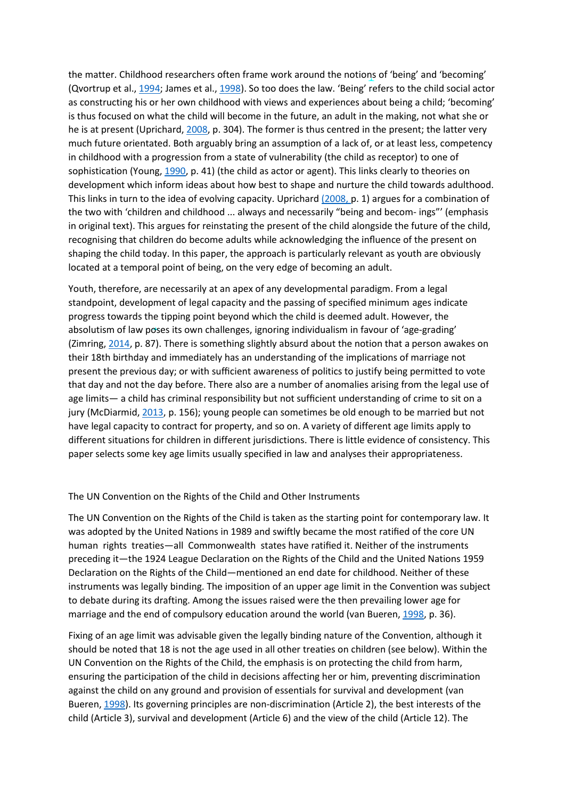<span id="page-2-4"></span><span id="page-2-2"></span><span id="page-2-0"></span>the matter. Childhood researchers often frame work around the notions of 'being' and 'becoming' (Qvortrup et al., [1994;](#page-9-1) James et al., [1998\)](#page-9-2). So too does the law. 'Being' refers to the child social actor as constructing his or her own childhood with views and experiences about being a child; 'becoming' is thus focused on what the child will become in the future, an adult in the making, not what she or he is at present (Uprichard, [2008,](#page-9-3) p. 304). The former is thus centred in the present; the latter very much future orientated. Both arguably bring an assumption of a lack of, or at least less, competency in childhood with a progression from a state of vulnerability (the child as receptor) to one of sophistication (Young, [1990,](#page-10-0) p. 41) (the child as actor or agent). This links clearly to theories on development which inform ideas about how best to shape and nurture the child towards adulthood. This links in turn to the idea of evolving capacity. Uprichard  $(2008, p. 1)$  $(2008, p. 1)$  argues for a combination of the two with 'children and childhood ... always and necessarily "being and becom- ings"' (emphasis in original text). This argues for reinstating the present of the child alongside the future of the child, recognising that children do become adults while acknowledging the influence of the present on shaping the child today. In this paper, the approach is particularly relevant as youth are obviously located at a temporal point of being, on the very edge of becoming an adult.

<span id="page-2-5"></span><span id="page-2-3"></span>Youth, therefore, are necessarily at an apex of any developmental paradigm. From a legal standpoint, development of legal capacity and the passing of specified minimum ages indicate progress towards the tipping point beyond which the child is deemed adult. However, the absolutism of law poses its own challenges, ignoring individualism in favour of 'age-grading' (Zimring, [2014,](#page-10-1) p. 87). There is something slightly absurd about the notion that a person awakes on their 18th birthday and immediately has an understanding of the implications of marriage not present the previous day; or with sufficient awareness of politics to justify being permitted to vote that day and not the day before. There also are a number of anomalies arising from the legal use of age limits— a child has criminal responsibility but not sufficient understanding of crime to sit on a jury (McDiarmid, [2013,](#page-9-4) p. 156); young people can sometimes be old enough to be married but not have legal capacity to contract for property, and so on. A variety of different age limits apply to different situations for children in different jurisdictions. There is little evidence of consistency. This paper selects some key age limits usually specified in law and analyses their appropriateness.

#### <span id="page-2-1"></span>The UN Convention on the Rights of the Child and Other Instruments

The UN Convention on the Rights of the Child is taken as the starting point for contemporary law. It was adopted by the United Nations in 1989 and swiftly became the most ratified of the core UN human rights treaties—all Commonwealth states have ratified it. Neither of the instruments preceding it—the 1924 League Declaration on the Rights of the Child and the United Nations 1959 Declaration on the Rights of the Child—mentioned an end date for childhood. Neither of these instruments was legally binding. The imposition of an upper age limit in the Convention was subject to debate during its drafting. Among the issues raised were the then prevailing lower age for marriage and the end of compulsory education around the world (van Bueren, [1998,](#page-10-2) p. 36).

Fixing of an age limit was advisable given the legally binding nature of the Convention, although it should be noted that 18 is not the age used in all other treaties on children (see below). Within the UN Convention on the Rights of the Child, the emphasis is on protecting the child from harm, ensuring the participation of the child in decisions affecting her or him, preventing discrimination against the child on any ground and provision of essentials for survival and development (van Bueren, [1998\)](#page-10-2). Its governing principles are non-discrimination (Article 2), the best interests of the child (Article 3), survival and development (Article 6) and the view of the child (Article 12). The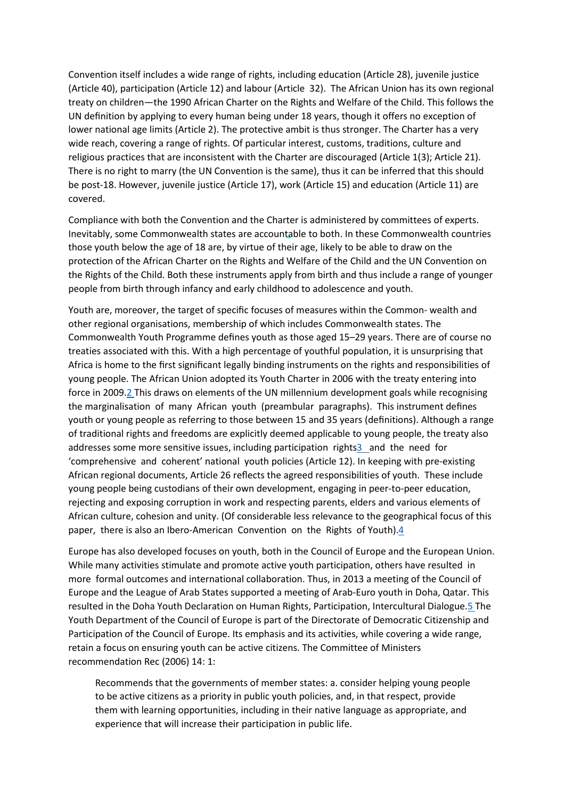Convention itself includes a wide range of rights, including education (Article 28), juvenile justice (Article 40), participation (Article 12) and labour (Article 32). The African Union has its own regional treaty on children—the 1990 African Charter on the Rights and Welfare of the Child. This follows the UN definition by applying to every human being under 18 years, though it offers no exception of lower national age limits (Article 2). The protective ambit is thus stronger. The Charter has a very wide reach, covering a range of rights. Of particular interest, customs, traditions, culture and religious practices that are inconsistent with the Charter are discouraged (Article 1(3); Article 21). There is no right to marry (the UN Convention is the same), thus it can be inferred that this should be post-18. However, juvenile justice (Article 17), work (Article 15) and education (Article 11) are covered.

Compliance with both the Convention and the Charter is administered by committees of experts. Inevitably, some Commonwealth states are accountable to both. In these Commonwealth countries those youth below the age of 18 are, by virtue of their age, likely to be able to draw on the protection of the African Charter on the Rights and Welfare of the Child and the UN Convention on the Rights of the Child. Both these instruments apply from birth and thus include a range of younger people from birth through infancy and early childhood to adolescence and youth.

Youth are, moreover, the target of specific focuses of measures within the Common- wealth and other regional organisations, membership of which includes Commonwealth states. The Commonwealth Youth Programme defines youth as those aged 15–29 years. There are of course no treaties associated with this. With a high percentage of youthful population, it is unsurprising that Africa is home to the first significant legally binding instruments on the rights and responsibilities of young people. The African Union adopted its Youth Charter in 2006 with the treaty entering into force in 2009[.2](#page-8-1) This draws on elements of the UN millennium development goals while recognising the marginalisation of many African youth (preambular paragraphs). This instrument defines youth or young people as referring to those between 15 and 35 years (definitions). Although a range of traditional rights and freedoms are explicitly deemed applicable to young people, the treaty also addresses some more sensitive issues, including participation right[s3 a](#page-8-2)nd the need for 'comprehensive and coherent' national youth policies (Article 12). In keeping with pre-existing African regional documents, Article 26 reflects the agreed responsibilities of youth. These include young people being custodians of their own development, engaging in peer-to-peer education, rejecting and exposing corruption in work and respecting parents, elders and various elements of African culture, cohesion and unity. (Of considerable less relevance to the geographical focus of this paper, there is also an Ibero-American Convention on the Rights of Youth)[.4](#page-8-3)

Europe has also developed focuses on youth, both in the Council of Europe and the European Union. While many activities stimulate and promote active youth participation, others have resulted in more formal outcomes and international collaboration. Thus, in 2013 a meeting of the Council of Europe and the League of Arab States supported a meeting of Arab-Euro youth in Doha, Qatar. This resulted in the Doha Youth Declaration on Human Rights, Participation, Intercultural Dialogue.<sup>5</sup> The Youth Department of the Council of Europe is part of the Directorate of Democratic Citizenship and Participation of the Council of Europe. Its emphasis and its activities, while covering a wide range, retain a focus on ensuring youth can be active citizens. The Committee of Ministers recommendation Rec (2006) 14: 1:

Recommends that the governments of member states: a. consider helping young people to be active citizens as a priority in public youth policies, and, in that respect, provide them with learning opportunities, including in their native language as appropriate, and experience that will increase their participation in public life.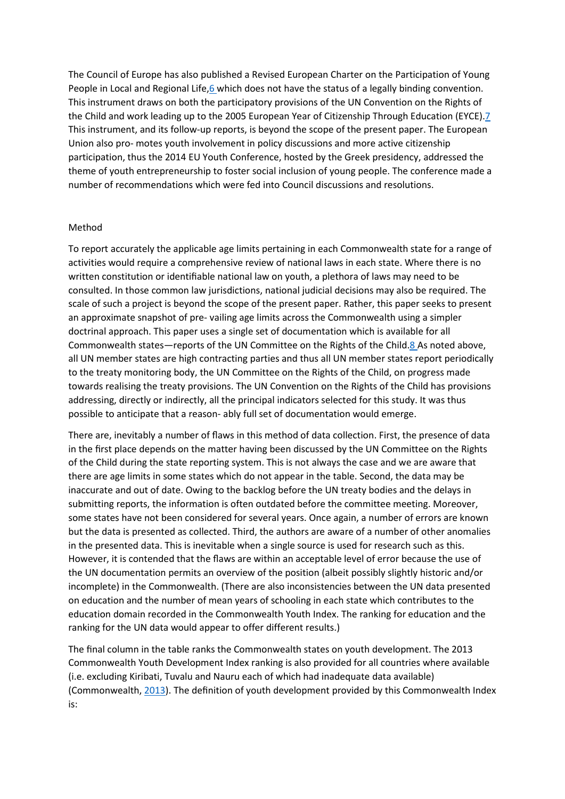The Council of Europe has also published a Revised European Charter on the Participation of Young People in Local and Regional Life,6 which does not have the status of a legally binding convention. This instrument draws on both the participatory provisions of the UN Convention on the Rights of the Child and work leading up to the 2005 European Year of Citizenship Through Education (EYCE).7 This instrument, and its follow-up reports, is beyond the scope of the present paper. The European Union also pro- motes youth involvement in policy discussions and more active citizenship participation, thus the 2014 EU Youth Conference, hosted by the Greek presidency, addressed the theme of youth entrepreneurship to foster social inclusion of young people. The conference made a number of recommendations which were fed into Council discussions and resolutions.

### Method

To report accurately the applicable age limits pertaining in each Commonwealth state for a range of activities would require a comprehensive review of national laws in each state. Where there is no written constitution or identifiable national law on youth, a plethora of laws may need to be consulted. In those common law jurisdictions, national judicial decisions may also be required. The scale of such a project is beyond the scope of the present paper. Rather, this paper seeks to present an approximate snapshot of pre- vailing age limits across the Commonwealth using a simpler doctrinal approach. This paper uses a single set of documentation which is available for all Commonwealth states—reports of the UN Committee on the Rights of the Child.8 As noted above, all UN member states are high contracting parties and thus all UN member states report periodically to the treaty monitoring body, the UN Committee on the Rights of the Child, on progress made towards realising the treaty provisions. The UN Convention on the Rights of the Child has provisions addressing, directly or indirectly, all the principal indicators selected for this study. It was thus possible to anticipate that a reason- ably full set of documentation would emerge.

There are, inevitably a number of flaws in this method of data collection. First, the presence of data in the first place depends on the matter having been discussed by the UN Committee on the Rights of the Child during the state reporting system. This is not always the case and we are aware that there are age limits in some states which do not appear in the table. Second, the data may be inaccurate and out of date. Owing to the backlog before the UN treaty bodies and the delays in submitting reports, the information is often outdated before the committee meeting. Moreover, some states have not been considered for several years. Once again, a number of errors are known but the data is presented as collected. Third, the authors are aware of a number of other anomalies in the presented data. This is inevitable when a single source is used for research such as this. However, it is contended that the flaws are within an acceptable level of error because the use of the UN documentation permits an overview of the position (albeit possibly slightly historic and/or incomplete) in the Commonwealth. (There are also inconsistencies between the UN data presented on education and the number of mean years of schooling in each state which contributes to the education domain recorded in the Commonwealth Youth Index. The ranking for education and the ranking for the UN data would appear to offer different results.)

The final column in the table ranks the Commonwealth states on youth development. The 2013 Commonwealth Youth Development Index ranking is also provided for all countries where available (i.e. excluding Kiribati, Tuvalu and Nauru each of which had inadequate data available) (Commonwealth, [2013\)](#page-9-0). The definition of youth development provided by this Commonwealth Index is: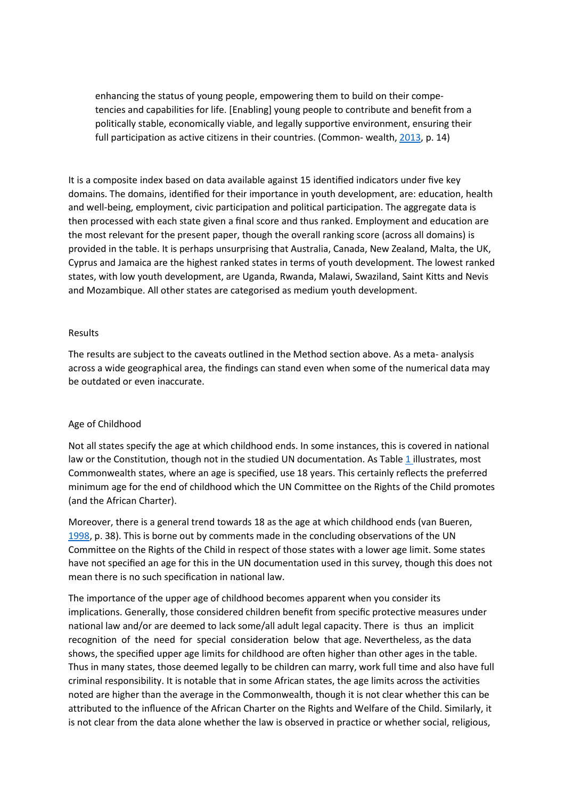enhancing the status of young people, empowering them to build on their competencies and capabilities for life. [Enabling] young people to contribute and benefit from a politically stable, economically viable, and legally supportive environment, ensuring their full participation as active citizens in their countries. (Common- wealth, [2013,](#page-9-0) p. 14)

It is a composite index based on data available against 15 identified indicators under five key domains. The domains, identified for their importance in youth development, are: education, health and well-being, employment, civic participation and political participation. The aggregate data is then processed with each state given a final score and thus ranked. Employment and education are the most relevant for the present paper, though the overall ranking score (across all domains) is provided in the table. It is perhaps unsurprising that Australia, Canada, New Zealand, Malta, the UK, Cyprus and Jamaica are the highest ranked states in terms of youth development. The lowest ranked states, with low youth development, are Uganda, Rwanda, Malawi, Swaziland, Saint Kitts and Nevis and Mozambique. All other states are categorised as medium youth development.

### Results

The results are subject to the caveats outlined in the Method section above. As a meta- analysis across a wide geographical area, the findings can stand even when some of the numerical data may be outdated or even inaccurate.

# Age of Childhood

Not all states specify the age at which childhood ends. In some instances, this is covered in national law or the Constitution, though not in the studied UN documentation. As Table 1 illustrates, most Commonwealth states, where an age is specified, use 18 years. This certainly reflects the preferred minimum age for the end of childhood which the UN Committee on the Rights of the Child promotes (and the African Charter).

Moreover, there is a general trend towards 18 as the age at which childhood ends (van Bueren, [1998,](#page-10-2) p. 38). This is borne out by comments made in the concluding observations of the UN Committee on the Rights of the Child in respect of those states with a lower age limit. Some states have not specified an age for this in the UN documentation used in this survey, though this does not mean there is no such specification in national law.

The importance of the upper age of childhood becomes apparent when you consider its implications. Generally, those considered children benefit from specific protective measures under national law and/or are deemed to lack some/all adult legal capacity. There is thus an implicit recognition of the need for special consideration below that age. Nevertheless, as the data shows, the specified upper age limits for childhood are often higher than other ages in the table. Thus in many states, those deemed legally to be children can marry, work full time and also have full criminal responsibility. It is notable that in some African states, the age limits across the activities noted are higher than the average in the Commonwealth, though it is not clear whether this can be attributed to the influence of the African Charter on the Rights and Welfare of the Child. Similarly, it is not clear from the data alone whether the law is observed in practice or whether social, religious,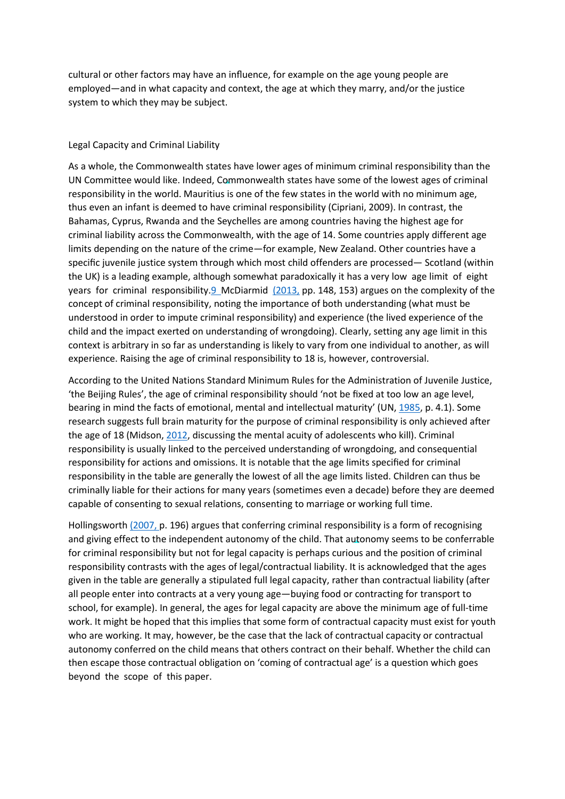cultural or other factors may have an influence, for example on the age young people are employed—and in what capacity and context, the age at which they marry, and/or the justice system to which they may be subject.

### Legal Capacity and Criminal Liability

As a whole, the Commonwealth states have lower ages of minimum criminal responsibility than the UN Committee would like. Indeed, Commonwealth states have some of the lowest ages of criminal responsibility in the world. Mauritius is one of the few states in the world with no minimum age, thus even an infant is deemed to have criminal responsibility (Cipriani, 2009). In contrast, the Bahamas, Cyprus, Rwanda and the Seychelles are among countries having the highest age for criminal liability across the Commonwealth, with the age of 14. Some countries apply different age limits depending on the nature of the crime—for example, New Zealand. Other countries have a specific juvenile justice system through which most child offenders are processed— Scotland (within the UK) is a leading example, although somewhat paradoxically it has a very low age limit of eight years for criminal responsibility.9 McDiarmid [\(2013,](#page-9-4) pp. 148, 153) argues on the complexity of the concept of criminal responsibility, noting the importance of both understanding (what must be understood in order to impute criminal responsibility) and experience (the lived experience of the child and the impact exerted on understanding of wrongdoing). Clearly, setting any age limit in this context is arbitrary in so far as understanding is likely to vary from one individual to another, as will experience. Raising the age of criminal responsibility to 18 is, however, controversial.

<span id="page-6-2"></span><span id="page-6-1"></span>According to the United Nations Standard Minimum Rules for the Administration of Juvenile Justice, 'the Beijing Rules', the age of criminal responsibility should 'not be fixed at too low an age level, bearing in mind the facts of emotional, mental and intellectual maturity' (UN, [1985,](#page-9-5) p. 4.1). Some research suggests full brain maturity for the purpose of criminal responsibility is only achieved after the age of 18 (Midson, [2012,](#page-9-6) discussing the mental acuity of adolescents who kill). Criminal responsibility is usually linked to the perceived understanding of wrongdoing, and consequential responsibility for actions and omissions. It is notable that the age limits specified for criminal responsibility in the table are generally the lowest of all the age limits listed. Children can thus be criminally liable for their actions for many years (sometimes even a decade) before they are deemed capable of consenting to sexual relations, consenting to marriage or working full time.

<span id="page-6-0"></span>Hollingsworth (2007, p. 196) argues that conferring criminal responsibility is a form of recognising and giving effect to the independent autonomy of the child. That autonomy seems to be conferrable for criminal responsibility but not for legal capacity is perhaps curious and the position of criminal responsibility contrasts with the ages of legal/contractual liability. It is acknowledged that the ages given in the table are generally a stipulated full legal capacity, rather than contractual liability (after all people enter into contracts at a very young age—buying food or contracting for transport to school, for example). In general, the ages for legal capacity are above the minimum age of full-time work. It might be hoped that this implies that some form of contractual capacity must exist for youth who are working. It may, however, be the case that the lack of contractual capacity or contractual autonomy conferred on the child means that others contract on their behalf. Whether the child can then escape those contractual obligation on 'coming of contractual age' is a question which goes beyond the scope of this paper.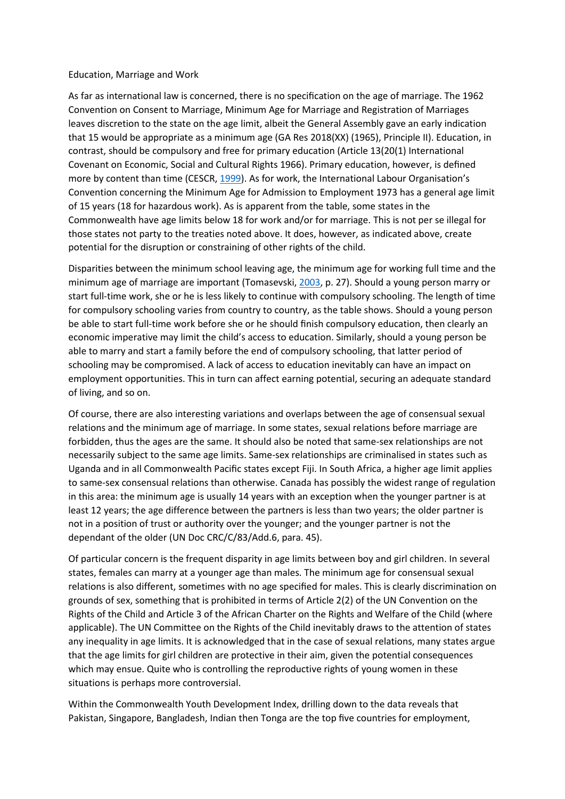### Education, Marriage and Work

<span id="page-7-0"></span>As far as international law is concerned, there is no specification on the age of marriage. The 1962 Convention on Consent to Marriage, Minimum Age for Marriage and Registration of Marriages leaves discretion to the state on the age limit, albeit the General Assembly gave an early indication that 15 would be appropriate as a minimum age (GA Res 2018(XX) (1965), Principle II). Education, in contrast, should be compulsory and free for primary education (Article 13(20(1) International Covenant on Economic, Social and Cultural Rights 1966). Primary education, however, is defined more by content than time (CESCR, [1999\)](#page-9-7). As for work, the International Labour Organisation's Convention concerning the Minimum Age for Admission to Employment 1973 has a general age limit of 15 years (18 for hazardous work). As is apparent from the table, some states in the Commonwealth have age limits below 18 for work and/or for marriage. This is not per se illegal for those states not party to the treaties noted above. It does, however, as indicated above, create potential for the disruption or constraining of other rights of the child.

<span id="page-7-1"></span>Disparities between the minimum school leaving age, the minimum age for working full time and the minimum age of marriage are important (Tomasevski, [2003,](#page-9-8) p. 27). Should a young person marry or start full-time work, she or he is less likely to continue with compulsory schooling. The length of time for compulsory schooling varies from country to country, as the table shows. Should a young person be able to start full-time work before she or he should finish compulsory education, then clearly an economic imperative may limit the child's access to education. Similarly, should a young person be able to marry and start a family before the end of compulsory schooling, that latter period of schooling may be compromised. A lack of access to education inevitably can have an impact on employment opportunities. This in turn can affect earning potential, securing an adequate standard of living, and so on.

Of course, there are also interesting variations and overlaps between the age of consensual sexual relations and the minimum age of marriage. In some states, sexual relations before marriage are forbidden, thus the ages are the same. It should also be noted that same-sex relationships are not necessarily subject to the same age limits. Same-sex relationships are criminalised in states such as Uganda and in all Commonwealth Pacific states except Fiji. In South Africa, a higher age limit applies to same-sex consensual relations than otherwise. Canada has possibly the widest range of regulation in this area: the minimum age is usually 14 years with an exception when the younger partner is at least 12 years; the age difference between the partners is less than two years; the older partner is not in a position of trust or authority over the younger; and the younger partner is not the dependant of the older (UN Doc CRC/C/83/Add.6, para. 45).

Of particular concern is the frequent disparity in age limits between boy and girl children. In several states, females can marry at a younger age than males. The minimum age for consensual sexual relations is also different, sometimes with no age specified for males. This is clearly discrimination on grounds of sex, something that is prohibited in terms of Article 2(2) of the UN Convention on the Rights of the Child and Article 3 of the African Charter on the Rights and Welfare of the Child (where applicable). The UN Committee on the Rights of the Child inevitably draws to the attention of states any inequality in age limits. It is acknowledged that in the case of sexual relations, many states argue that the age limits for girl children are protective in their aim, given the potential consequences which may ensue. Quite who is controlling the reproductive rights of young women in these situations is perhaps more controversial.

Within the Commonwealth Youth Development Index, drilling down to the data reveals that Pakistan, Singapore, Bangladesh, Indian then Tonga are the top five countries for employment,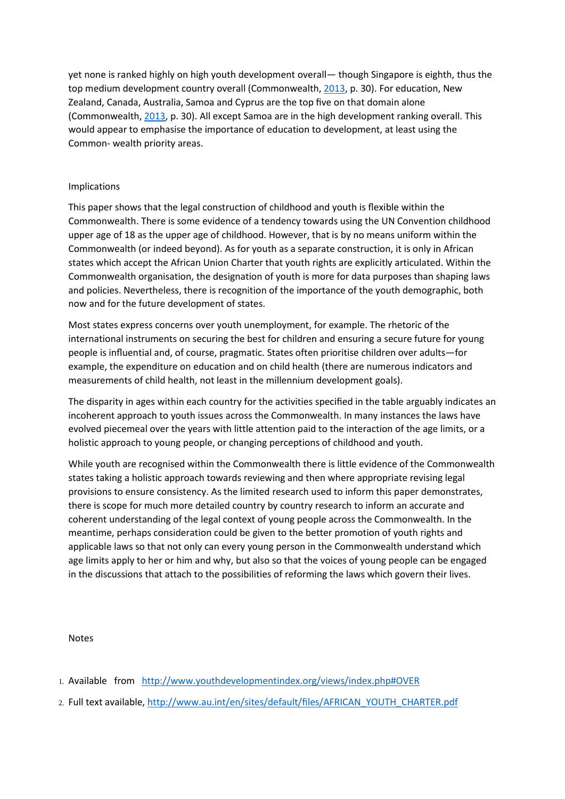yet none is ranked highly on high youth development overall— though Singapore is eighth, thus the top medium development country overall (Commonwealth, [2013,](#page-9-0) p. 30). For education, New Zealand, Canada, Australia, Samoa and Cyprus are the top five on that domain alone (Commonwealth, [2013,](#page-9-0) p. 30). All except Samoa are in the high development ranking overall. This would appear to emphasise the importance of education to development, at least using the Common- wealth priority areas.

## Implications

This paper shows that the legal construction of childhood and youth is flexible within the Commonwealth. There is some evidence of a tendency towards using the UN Convention childhood upper age of 18 as the upper age of childhood. However, that is by no means uniform within the Commonwealth (or indeed beyond). As for youth as a separate construction, it is only in African states which accept the African Union Charter that youth rights are explicitly articulated. Within the Commonwealth organisation, the designation of youth is more for data purposes than shaping laws and policies. Nevertheless, there is recognition of the importance of the youth demographic, both now and for the future development of states.

<span id="page-8-2"></span><span id="page-8-1"></span><span id="page-8-0"></span>Most states express concerns over youth unemployment, for example. The rhetoric of the international instruments on securing the best for children and ensuring a secure future for young people is influential and, of course, pragmatic. States often prioritise children over adults—for example, the expenditure on education and on child health (there are numerous indicators and measurements of child health, not least in the millennium development goals).

<span id="page-8-4"></span><span id="page-8-3"></span>The disparity in ages within each country for the activities specified in the table arguably indicates an incoherent approach to youth issues across the Commonwealth. In many instances the laws have evolved piecemeal over the years with little attention paid to the interaction of the age limits, or a holistic approach to young people, or changing perceptions of childhood and youth.

While youth are recognised within the Commonwealth there is little evidence of the Commonwealth states taking a holistic approach towards reviewing and then where appropriate revising legal provisions to ensure consistency. As the limited research used to inform this paper demonstrates, there is scope for much more detailed country by country research to inform an accurate and coherent understanding of the legal context of young people across the Commonwealth. In the meantime, perhaps consideration could be given to the better promotion of youth rights and applicable laws so that not only can every young person in the Commonwealth understand which age limits apply to her or him and why, but also so that the voices of young people can be engaged in the discussions that attach to the possibilities of reforming the laws which govern their lives.

Notes

- 1. Available from <http://www.youthdevelopmentindex.org/views/index.php#OVER>
- 2. Full text available, [http://www.au.int/en/sites/default/](http://www.au.int/en/sites/default/files/AFRICAN_YOUTH_CHARTER.pdf)files/AFRICAN\_YOUTH\_CHARTER.pdf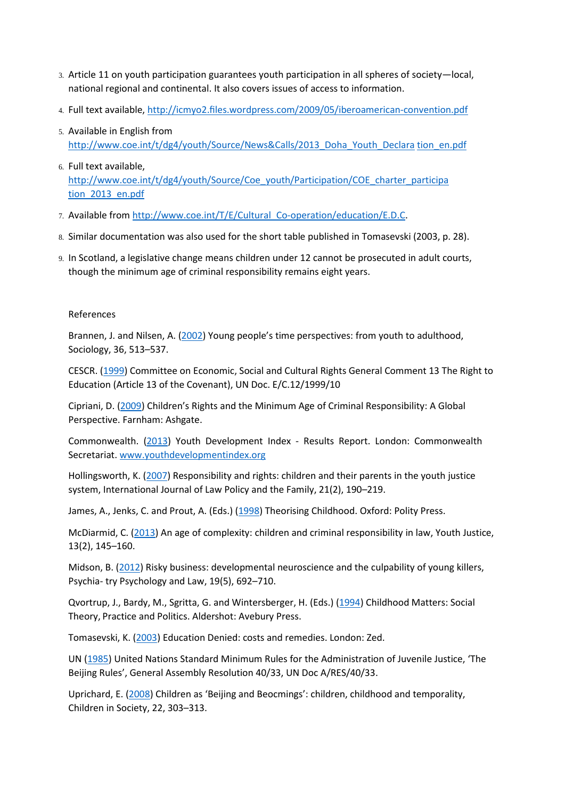- 3. Article 11 on youth participation guarantees youth participation in all spheres of society—local, national regional and continental. It also covers issues of access to information.
- 4. Full text available, http://icmyo2.fi[les.wordpress.com/2009/05/iberoamerican-convention.pdf](http://icmyo2.files.wordpress.com/2009/05/iberoamerican-convention.pdf)
- 5. Available in English from [http://www.coe.int/t/dg4/youth/Source/News&Calls/2013\\_Doha\\_Youth\\_Declara](http://www.coe.int/t/dg4/youth/Source/News%26amp%3BCalls/2013_Doha_Youth_Declaration_en.pdf) [tion\\_en.pdf](http://www.coe.int/t/dg4/youth/Source/News%26amp%3BCalls/2013_Doha_Youth_Declaration_en.pdf)
- 6. Full text available, http://www.coe.int/t/dg4/youth/Source/Coe\_youth/Participation/COE\_charter\_participa [tion\\_2013\\_en.pdf](http://www.coe.int/t/dg4/youth/Source/Coe_youth/Participation/COE_charter_participa%20tion_2013_en.pdf)
- 7. Available fro[m http://www.coe.int/T/E/Cultural\\_Co-operation/education/E.D.C.](http://www.coe.int/T/E/Cultural_Co-operation/education/E.D.C)
- 8. Similar documentation was also used for the short table published in Tomasevski (2003, p. 28).
- 9. In Scotland, a legislative change means children under 12 cannot be prosecuted in adult courts, though the minimum age of criminal responsibility remains eight years.

### References

Brannen, J. and Nilsen, A. [\(2002\)](#page-1-0) Young people's time perspectives: from youth to adulthood, Sociology, 36, 513–537.

<span id="page-9-7"></span>CESCR. [\(1999\)](#page-7-0) Committee on Economic, Social and Cultural Rights General Comment 13 The Right to Education (Article 13 of the Covenant), UN Doc. E/C.12/1999/10

Cipriani, D. (2009) Children's Rights and the Minimum Age of Criminal Responsibility: A Global Perspective. Farnham: Ashgate.

<span id="page-9-0"></span>Commonwealth. [\(2013\)](#page-1-1) Youth Development Index - Results Report. London: Commonwealth Secretariat. [www.youthdevelopmentindex.org](http://www.youthdevelopmentindex.org/)

Hollingsworth, K. [\(2007\)](#page-6-0) Responsibility and rights: children and their parents in the youth justice system, International Journal of Law Policy and the Family, 21(2), 190–219.

<span id="page-9-2"></span>James, A., Jenks, C. and Prout, A. (Eds.) [\(1998\)](#page-2-0) Theorising Childhood. Oxford: Polity Press.

<span id="page-9-6"></span><span id="page-9-4"></span>McDiarmid, C. [\(2013\)](#page-2-1) An age of complexity: children and criminal responsibility in law, Youth Justice, 13(2), 145–160.

Midson, B. [\(2012\)](#page-6-1) Risky business: developmental neuroscience and the culpability of young killers, Psychia- try Psychology and Law, 19(5), 692–710.

<span id="page-9-1"></span>Qvortrup, J., Bardy, M., Sgritta, G. and Wintersberger, H. (Eds.) [\(1994\)](#page-2-2) Childhood Matters: Social Theory, Practice and Politics. Aldershot: Avebury Press.

<span id="page-9-8"></span>Tomasevski, K. [\(2003\)](#page-7-1) Education Denied: costs and remedies. London: Zed.

<span id="page-9-5"></span>UN [\(1985\)](#page-6-2) United Nations Standard Minimum Rules for the Administration of Juvenile Justice, 'The Beijing Rules', General Assembly Resolution 40/33, UN Doc A/RES/40/33.

<span id="page-9-3"></span>Uprichard, E. [\(2008\)](#page-2-3) Children as 'Beijing and Beocmings': children, childhood and temporality, Children in Society, 22, 303–313.